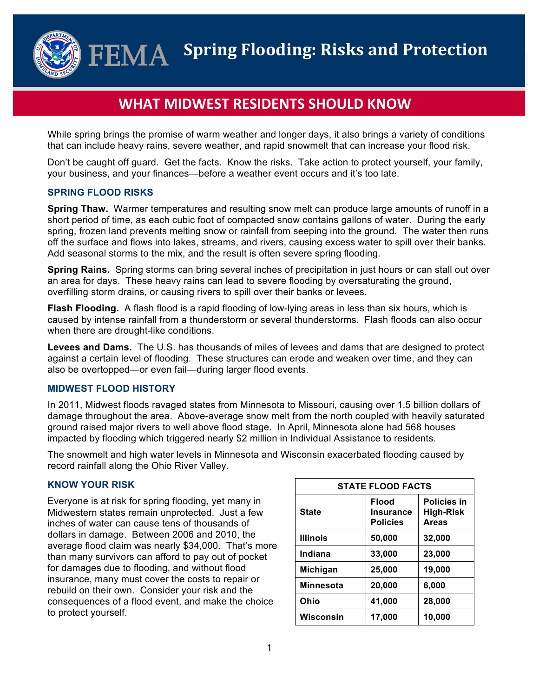**Spring Flooding: Risks and Protection**  ${\bf FEMA}$ 

# **WHAT MIDWEST RESIDENTS SHOULD KNOW**

While spring brings the promise of warm weather and longer days, it also brings a variety of conditions that can include heavy rains, severe weather, and rapid snowmelt that can increase your flood risk.

Don't be caught off guard. Get the facts. Know the risks. Take action to protect yourself, your family, your business, and your finances—before a weather event occurs and it's too late.

### **SPRING FLOOD RISKS**

**Spring Thaw.** Warmer temperatures and resulting snow melt can produce large amounts of runoff in a short period of time, as each cubic foot of compacted snow contains gallons of water. During the early spring, frozen land prevents melting snow or rainfall from seeping into the ground. The water then runs off the surface and flows into lakes, streams, and rivers, causing excess water to spill over their banks. Add seasonal storms to the mix, and the result is often severe spring flooding.

**Spring Rains.** Spring storms can bring several inches of precipitation in just hours or can stall out over an area for days. These heavy rains can lead to severe flooding by oversaturating the ground, overfilling storm drains, or causing rivers to spill over their banks or levees.

**Flash Flooding.** A flash flood is a rapid flooding of low-lying areas in less than six hours, which is caused by intense rainfall from a thunderstorm or several thunderstorms. Flash floods can also occur when there are drought-like conditions.

**Levees and Dams.** The U.S. has thousands of miles of levees and dams that are designed to protect against a certain level of flooding. These structures can erode and weaken over time, and they can also be overtopped—or even fail—during larger flood events.

## **MIDWEST FLOOD HISTORY**

In 2011, Midwest floods ravaged states from Minnesota to Missouri, causing over 1.5 billion dollars of damage throughout the area. Above-average snow melt from the north coupled with heavily saturated ground raised major rivers to well above flood stage. In April, Minnesota alone had 568 houses impacted by flooding which triggered nearly \$2 million in Individual Assistance to residents.

The snowmelt and high water levels in Minnesota and Wisconsin exacerbated flooding caused by record rainfall along the Ohio River Valley.

## **KNOW YOUR RISK**

Everyone is at risk for spring flooding, yet many in Midwestern states remain unprotected. Just a few inches of water can cause tens of thousands of dollars in damage. Between 2006 and 2010, the average flood claim was nearly \$34,000. That's more than many survivors can afford to pay out of pocket for damages due to flooding, and without flood insurance, many must cover the costs to repair or rebuild on their own. Consider your risk and the consequences of a flood event, and make the choice to protect yourself.

| <b>STATE FLOOD FACTS</b> |                                                     |                                                 |
|--------------------------|-----------------------------------------------------|-------------------------------------------------|
| <b>State</b>             | <b>Flood</b><br><b>Insurance</b><br><b>Policies</b> | Policies in<br><b>High-Risk</b><br><b>Areas</b> |
| <b>Illinois</b>          | 50,000                                              | 32,000                                          |
| Indiana                  | 33,000                                              | 23,000                                          |
| Michigan                 | 25,000                                              | 19,000                                          |
| <b>Minnesota</b>         | 20,000                                              | 6,000                                           |
| Ohio                     | 41,000                                              | 28,000                                          |
| Wisconsin                | 17,000                                              | 10,000                                          |